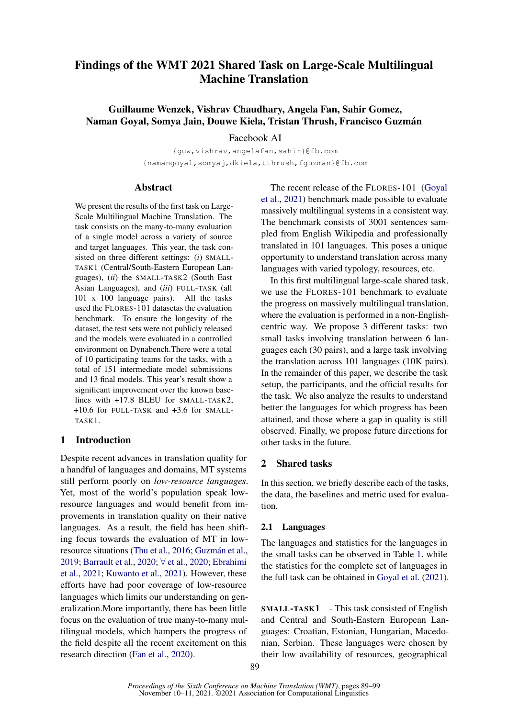# Findings of the WMT 2021 Shared Task on Large-Scale Multilingual Machine Translation

Guillaume Wenzek, Vishrav Chaudhary, Angela Fan, Sahir Gomez, Naman Goyal, Somya Jain, Douwe Kiela, Tristan Thrush, Francisco Guzmán

Facebook AI

{guw,vishrav,angelafan,sahir}@fb.com {namangoyal,somyaj,dkiela,tthrush,fguzman}@fb.com

### **Abstract**

We present the results of the first task on Large-Scale Multilingual Machine Translation. The task consists on the many-to-many evaluation of a single model across a variety of source and target languages. This year, the task consisted on three different settings: (*i*) SMALL-TASK1 (Central/South-Eastern European Languages), (*ii*) the SMALL-TASK2 (South East Asian Languages), and (*iii*) FULL-TASK (all 101 x 100 language pairs). All the tasks used the FLORES-101 datasetas the evaluation benchmark. To ensure the longevity of the dataset, the test sets were not publicly released and the models were evaluated in a controlled environment on Dynabench.There were a total of 10 participating teams for the tasks, with a total of 151 intermediate model submissions and 13 final models. This year's result show a significant improvement over the known baselines with +17.8 BLEU for SMALL-TASK2, +10.6 for FULL-TASK and +3.6 for SMALL-TASK1.

# 1 Introduction

Despite recent advances in translation quality for a handful of languages and domains, MT systems still perform poorly on *low-resource languages*. Yet, most of the world's population speak lowresource languages and would benefit from improvements in translation quality on their native languages. As a result, the field has been shifting focus towards the evaluation of MT in lowresource situations [\(Thu et al.,](#page-10-0) [2016;](#page-10-0) [Guzmán et al.,](#page-9-0) [2019;](#page-9-0) [Barrault et al.,](#page-8-0) [2020;](#page-8-0) ∀ [et al.,](#page-9-1) [2020;](#page-9-1) [Ebrahimi](#page-8-1) [et al.,](#page-8-1) [2021;](#page-8-1) [Kuwanto et al.,](#page-9-2) [2021\)](#page-9-2). However, these efforts have had poor coverage of low-resource languages which limits our understanding on generalization.More importantly, there has been little focus on the evaluation of true many-to-many multilingual models, which hampers the progress of the field despite all the recent excitement on this research direction [\(Fan et al.,](#page-9-3) [2020\)](#page-9-3).

The recent release of the FLORES-101 [\(Goyal](#page-9-4) [et al.,](#page-9-4) [2021\)](#page-9-4) benchmark made possible to evaluate massively multilingual systems in a consistent way. The benchmark consists of 3001 sentences sampled from English Wikipedia and professionally translated in 101 languages. This poses a unique opportunity to understand translation across many languages with varied typology, resources, etc.

In this first multilingual large-scale shared task, we use the FLORES-101 benchmark to evaluate the progress on massively multilingual translation, where the evaluation is performed in a non-Englishcentric way. We propose 3 different tasks: two small tasks involving translation between 6 languages each (30 pairs), and a large task involving the translation across 101 languages (10K pairs). In the remainder of this paper, we describe the task setup, the participants, and the official results for the task. We also analyze the results to understand better the languages for which progress has been attained, and those where a gap in quality is still observed. Finally, we propose future directions for other tasks in the future.

# 2 Shared tasks

In this section, we briefly describe each of the tasks, the data, the baselines and metric used for evaluation.

# 2.1 Languages

The languages and statistics for the languages in the small tasks can be observed in Table [1,](#page-1-0) while the statistics for the complete set of languages in the full task can be obtained in [Goyal et al.](#page-9-4) [\(2021\)](#page-9-4).

SMALL-TASK1 - This task consisted of English and Central and South-Eastern European Languages: Croatian, Estonian, Hungarian, Macedonian, Serbian. These languages were chosen by their low availability of resources, geographical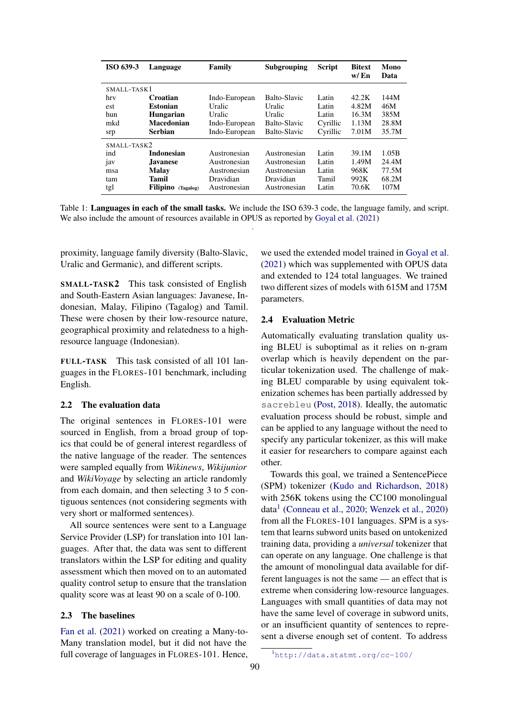<span id="page-1-0"></span>

| ISO 639-3   | Language                     | Family        | Subgrouping  | <b>Script</b> | <b>Bitext</b><br>w/En | Mono<br>Data |
|-------------|------------------------------|---------------|--------------|---------------|-----------------------|--------------|
| SMALL-TASK1 |                              |               |              |               |                       |              |
| hrv         | Croatian                     | Indo-European | Balto-Slavic | Latin         | 42.2K                 | 144M         |
| est         | <b>Estonian</b>              | Uralic        | Uralic       | Latin         | 4.82M                 | 46M          |
| hun         | <b>Hungarian</b>             | Uralic        | Uralic       | Latin         | 16.3M                 | 385M         |
| mkd         | <b>Macedonian</b>            | Indo-European | Balto-Slavic | Cyrillic      | 1.13M                 | 28.8M        |
| srp         | <b>Serbian</b>               | Indo-European | Balto-Slavic | Cyrillic      | 7.01M                 | 35.7M        |
| SMALL-TASK2 |                              |               |              |               |                       |              |
| ind         | <b>Indonesian</b>            | Austronesian  | Austronesian | Latin         | 39.1M                 | 1.05B        |
| 1aV         | <b>Javanese</b>              | Austronesian  | Austronesian | Latin         | 1.49M                 | 24.4M        |
| msa         | <b>Malay</b>                 | Austronesian  | Austronesian | Latin         | 968K                  | 77.5M        |
| tam         | Tamil                        | Dravidian     | Dravidian    | Tamil         | 992K                  | 68.2M        |
| tgl         | <b>Filipino</b><br>(Tagalog) | Austronesian  | Austronesian | Latin         | 70.6K                 | 107M         |

Table 1: Languages in each of the small tasks. We include the ISO 639-3 code, the language family, and script. We also include the amount of resources available in OPUS as reported by [Goyal et al.](#page-9-4) [\(2021\)](#page-9-4) .

proximity, language family diversity (Balto-Slavic, Uralic and Germanic), and different scripts.

SMALL-TASK2 This task consisted of English and South-Eastern Asian languages: Javanese, Indonesian, Malay, Filipino (Tagalog) and Tamil. These were chosen by their low-resource nature, geographical proximity and relatedness to a highresource language (Indonesian).

FULL-TASK This task consisted of all 101 languages in the FLORES-101 benchmark, including English.

### 2.2 The evaluation data

The original sentences in FLORES-101 were sourced in English, from a broad group of topics that could be of general interest regardless of the native language of the reader. The sentences were sampled equally from *Wikinews*, *Wikijunior* and *WikiVoyage* by selecting an article randomly from each domain, and then selecting 3 to 5 contiguous sentences (not considering segments with very short or malformed sentences).

All source sentences were sent to a Language Service Provider (LSP) for translation into 101 languages. After that, the data was sent to different translators within the LSP for editing and quality assessment which then moved on to an automated quality control setup to ensure that the translation quality score was at least 90 on a scale of 0-100.

### 2.3 The baselines

[Fan et al.](#page-9-5) [\(2021\)](#page-9-5) worked on creating a Many-to-Many translation model, but it did not have the full coverage of languages in FLORES-101. Hence, we used the extended model trained in [Goyal et al.](#page-9-4) [\(2021\)](#page-9-4) which was supplemented with OPUS data and extended to 124 total languages. We trained two different sizes of models with 615M and 175M parameters.

#### 2.4 Evaluation Metric

Automatically evaluating translation quality using BLEU is suboptimal as it relies on n-gram overlap which is heavily dependent on the particular tokenization used. The challenge of making BLEU comparable by using equivalent tokenization schemes has been partially addressed by sacrebleu [\(Post,](#page-9-6) [2018\)](#page-9-6). Ideally, the automatic evaluation process should be robust, simple and can be applied to any language without the need to specify any particular tokenizer, as this will make it easier for researchers to compare against each other.

Towards this goal, we trained a SentencePiece (SPM) tokenizer [\(Kudo and Richardson,](#page-9-7) [2018\)](#page-9-7) with 256K tokens using the CC100 monolingual data<sup>[1](#page-1-1)</sup> [\(Conneau et al.,](#page-8-2) [2020;](#page-8-2) [Wenzek et al.,](#page-10-1) [2020\)](#page-10-1) from all the FLORES-101 languages. SPM is a system that learns subword units based on untokenized training data, providing a *universal* tokenizer that can operate on any language. One challenge is that the amount of monolingual data available for different languages is not the same — an effect that is extreme when considering low-resource languages. Languages with small quantities of data may not have the same level of coverage in subword units, or an insufficient quantity of sentences to represent a diverse enough set of content. To address

<span id="page-1-1"></span><sup>1</sup><http://data.statmt.org/cc-100/>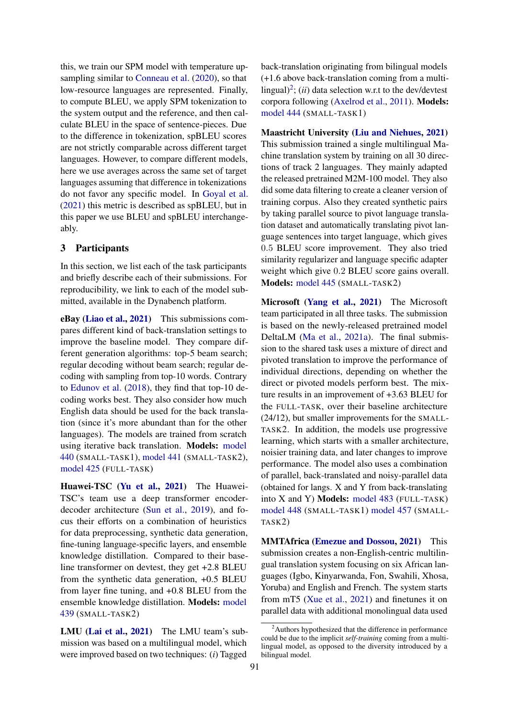this, we train our SPM model with temperature upsampling similar to [Conneau et al.](#page-8-2) [\(2020\)](#page-8-2), so that low-resource languages are represented. Finally, to compute BLEU, we apply SPM tokenization to the system output and the reference, and then calculate BLEU in the space of sentence-pieces. Due to the difference in tokenization, spBLEU scores are not strictly comparable across different target languages. However, to compare different models, here we use averages across the same set of target languages assuming that difference in tokenizations do not favor any specific model. In [Goyal et al.](#page-9-4) [\(2021\)](#page-9-4) this metric is described as spBLEU, but in this paper we use BLEU and spBLEU interchangeably.

# 3 Participants

In this section, we list each of the task participants and briefly describe each of their submissions. For reproducibility, we link to each of the model submitted, available in the Dynabench platform.

eBay [\(Liao et al.,](#page-9-8) [2021\)](#page-9-8) This submissions compares different kind of back-translation settings to improve the baseline model. They compare different generation algorithms: top-5 beam search; regular decoding without beam search; regular decoding with sampling from top-10 words. Contrary to [Edunov et al.](#page-8-3) [\(2018\)](#page-8-3), they find that top-10 decoding works best. They also consider how much English data should be used for the back translation (since it's more abundant than for the other languages). The models are trained from scratch using iterative back translation. Models: [model](https://dynabench.org/models/440) [440](https://dynabench.org/models/440) (SMALL-TASK1), [model 441](https://dynabench.org/models/441) (SMALL-TASK2), [model 425](https://dynabench.org/models/425) (FULL-TASK)

Huawei-TSC [\(Yu et al.,](#page-10-2) [2021\)](#page-10-2) The Huawei-TSC's team use a deep transformer encoderdecoder architecture [\(Sun et al.,](#page-9-9) [2019\)](#page-9-9), and focus their efforts on a combination of heuristics for data preprocessing, synthetic data generation, fine-tuning language-specific layers, and ensemble knowledge distillation. Compared to their baseline transformer on devtest, they get +2.8 BLEU from the synthetic data generation, +0.5 BLEU from layer fine tuning, and +0.8 BLEU from the ensemble knowledge distillation. Models: [model](https://dynabench.org/models/439) [439](https://dynabench.org/models/439) (SMALL-TASK2)

LMU [\(Lai et al.,](#page-9-10) [2021\)](#page-9-10) The LMU team's submission was based on a multilingual model, which were improved based on two techniques: (*i*) Tagged

back-translation originating from bilingual models (+1.6 above back-translation coming from a multi-lingual)<sup>[2](#page-2-0)</sup>; (*ii*) data selection w.r.t to the dev/devtest corpora following [\(Axelrod et al.,](#page-8-4) [2011\)](#page-8-4). Models: [model 444](https://dynabench.org/models/444) (SMALL-TASK1)

Maastricht University [\(Liu and Niehues,](#page-9-11) [2021\)](#page-9-11) This submission trained a single multilingual Machine translation system by training on all 30 directions of track 2 languages. They mainly adapted the released pretrained M2M-100 model. They also did some data filtering to create a cleaner version of training corpus. Also they created synthetic pairs by taking parallel source to pivot language translation dataset and automatically translating pivot language sentences into target language, which gives 0.5 BLEU score improvement. They also tried similarity regularizer and language specific adapter weight which give 0.2 BLEU score gains overall. Models: [model 445](https://dynabench.org/models/445) (SMALL-TASK2)

Microsoft [\(Yang et al.,](#page-10-3) [2021\)](#page-10-3) The Microsoft team participated in all three tasks. The submission is based on the newly-released pretrained model DeltaLM [\(Ma et al.,](#page-9-12) [2021a\)](#page-9-12). The final submission to the shared task uses a mixture of direct and pivoted translation to improve the performance of individual directions, depending on whether the direct or pivoted models perform best. The mixture results in an improvement of +3.63 BLEU for the FULL-TASK, over their baseline architecture (24/12), but smaller improvements for the SMALL-TASK2. In addition, the models use progressive learning, which starts with a smaller architecture, noisier training data, and later changes to improve performance. The model also uses a combination of parallel, back-translated and noisy-parallel data (obtained for langs. X and Y from back-translating into X and Y) Models: [model 483](https://dynabench.org/models/483) (FULL-TASK) [model 448](https://dynabench.org/models/448) (SMALL-TASK1) [model 457](https://dynabench.org/models/457) (SMALL-TASK2)

MMTAfrica [\(Emezue and Dossou,](#page-8-5) [2021\)](#page-8-5) This submission creates a non-English-centric multilingual translation system focusing on six African languages (Igbo, Kinyarwanda, Fon, Swahili, Xhosa, Yoruba) and English and French. The system starts from mT5 [\(Xue et al.,](#page-10-4) [2021\)](#page-10-4) and finetunes it on parallel data with additional monolingual data used

<span id="page-2-0"></span> $2$ Authors hypothesized that the difference in performance could be due to the implicit *self-training* coming from a multilingual model, as opposed to the diversity introduced by a bilingual model.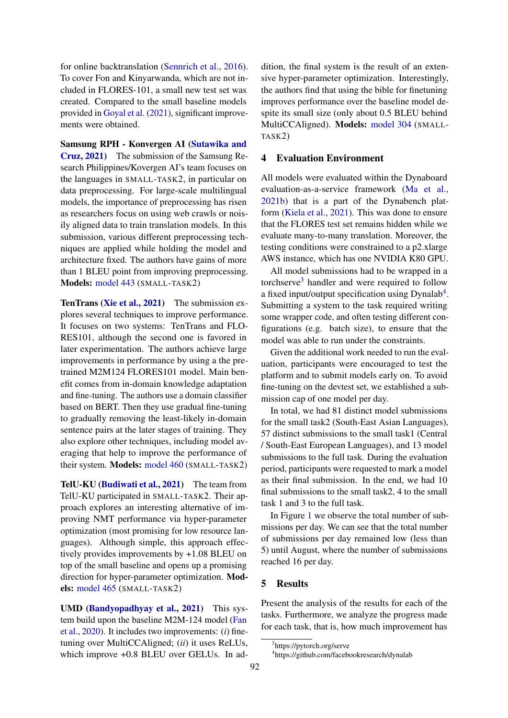for online backtranslation [\(Sennrich et al.,](#page-9-13) [2016\)](#page-9-13). To cover Fon and Kinyarwanda, which are not included in FLORES-101, a small new test set was created. Compared to the small baseline models provided in [Goyal et al.](#page-9-4) [\(2021\)](#page-9-4), significant improvements were obtained.

Samsung RPH - Konvergen AI [\(Sutawika and](#page-9-14) [Cruz,](#page-9-14) [2021\)](#page-9-14) The submission of the Samsung Research Philippines/Kovergen AI's team focuses on the languages in SMALL-TASK2, in particular on data preprocessing. For large-scale multilingual models, the importance of preprocessing has risen as researchers focus on using web crawls or noisily aligned data to train translation models. In this submission, various different preprocessing techniques are applied while holding the model and architecture fixed. The authors have gains of more than 1 BLEU point from improving preprocessing. Models: [model 443](https://dynabench.org/models/443) (SMALL-TASK2)

TenTrans [\(Xie et al.,](#page-10-5) [2021\)](#page-10-5) The submission explores several techniques to improve performance. It focuses on two systems: TenTrans and FLO-RES101, although the second one is favored in later experimentation. The authors achieve large improvements in performance by using a the pretrained M2M124 FLORES101 model. Main benefit comes from in-domain knowledge adaptation and fine-tuning. The authors use a domain classifier based on BERT. Then they use gradual fine-tuning to gradually removing the least-likely in-domain sentence pairs at the later stages of training. They also explore other techniques, including model averaging that help to improve the performance of their system. Models: [model 460](https://dynabench.org/models/460) (SMALL-TASK2)

TelU-KU [\(Budiwati et al.,](#page-8-6) [2021\)](#page-8-6) The team from TelU-KU participated in SMALL-TASK2. Their approach explores an interesting alternative of improving NMT performance via hyper-parameter optimization (most promising for low resource languages). Although simple, this approach effectively provides improvements by +1.08 BLEU on top of the small baseline and opens up a promising direction for hyper-parameter optimization. Models: [model 465](https://dynabench.org/models/465) (SMALL-TASK2)

UMD [\(Bandyopadhyay et al.,](#page-8-7) [2021\)](#page-8-7) This system build upon the baseline M2M-124 model [\(Fan](#page-9-3) [et al.,](#page-9-3) [2020\)](#page-9-3). It includes two improvements: (*i*) finetuning over MultiCCAligned; (*ii*) it uses ReLUs, which improve +0.8 BLEU over GELUs. In addition, the final system is the result of an extensive hyper-parameter optimization. Interestingly, the authors find that using the bible for finetuning improves performance over the baseline model despite its small size (only about 0.5 BLEU behind MultiCCAligned). Models: [model 304](https://dynabench.org/models/304) (SMALL-TASK2)

# 4 Evaluation Environment

All models were evaluated within the Dynaboard evaluation-as-a-service framework [\(Ma et al.,](#page-9-15) [2021b\)](#page-9-15) that is a part of the Dynabench platform [\(Kiela et al.,](#page-9-16) [2021\)](#page-9-16). This was done to ensure that the FLORES test set remains hidden while we evaluate many-to-many translation. Moreover, the testing conditions were constrained to a p2.xlarge AWS instance, which has one NVIDIA K80 GPU.

All model submissions had to be wrapped in a torchserve[3](#page-3-0) handler and were required to follow a fixed input/output specification using Dynalab<sup>[4](#page-3-1)</sup>. Submitting a system to the task required writing some wrapper code, and often testing different configurations (e.g. batch size), to ensure that the model was able to run under the constraints.

Given the additional work needed to run the evaluation, participants were encouraged to test the platform and to submit models early on. To avoid fine-tuning on the devtest set, we established a submission cap of one model per day.

In total, we had 81 distinct model submissions for the small task2 (South-East Asian Languages), 57 distinct submissions to the small task1 (Central / South-East European Languages), and 13 model submissions to the full task. During the evaluation period, participants were requested to mark a model as their final submission. In the end, we had 10 final submissions to the small task2, 4 to the small task 1 and 3 to the full task.

In Figure [1](#page-4-0) we observe the total number of submissions per day. We can see that the total number of submissions per day remained low (less than 5) until August, where the number of submissions reached 16 per day.

# 5 Results

Present the analysis of the results for each of the tasks. Furthermore, we analyze the progress made for each task, that is, how much improvement has

<span id="page-3-0"></span><sup>3</sup> https://pytorch.org/serve

<span id="page-3-1"></span><sup>4</sup> https://github.com/facebookresearch/dynalab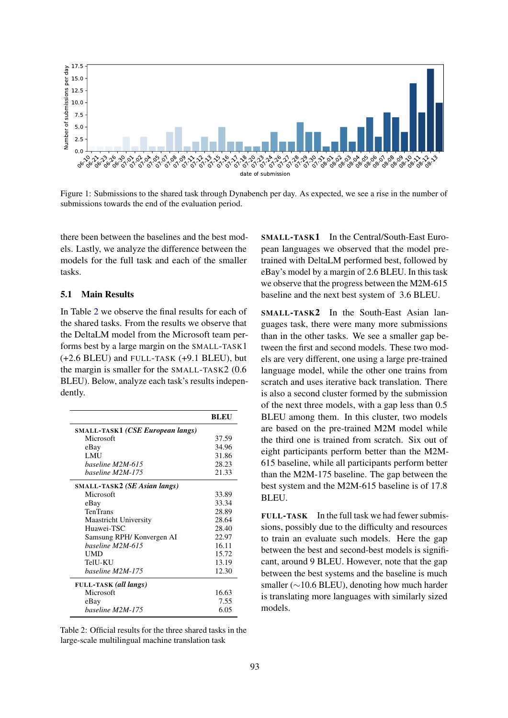<span id="page-4-0"></span>

Figure 1: Submissions to the shared task through Dynabench per day. As expected, we see a rise in the number of submissions towards the end of the evaluation period.

there been between the baselines and the best models. Lastly, we analyze the difference between the models for the full task and each of the smaller tasks.

# 5.1 Main Results

In Table [2](#page-4-1) we observe the final results for each of the shared tasks. From the results we observe that the DeltaLM model from the Microsoft team performs best by a large margin on the SMALL-TASK1 (+2.6 BLEU) and FULL-TASK (+9.1 BLEU), but the margin is smaller for the SMALL-TASK2 (0.6 BLEU). Below, analyze each task's results independently.

<span id="page-4-1"></span>

|                                              | <b>BLEU</b> |
|----------------------------------------------|-------------|
| <b>SMALL-TASK1 (CSE European langs)</b>      |             |
| Microsoft                                    | 37.59       |
| eBay                                         | 34.96       |
| <b>LMU</b>                                   | 31.86       |
| baseline M2M-615                             | 28.23       |
| baseline M2M-175                             | 21.33       |
| <b>SMALL-TASK2</b> ( <i>SE Asian langs</i> ) |             |
| Microsoft                                    | 33.89       |
| eBay                                         | 33.34       |
| <b>TenTrans</b>                              | 28.89       |
| <b>Maastricht University</b>                 | 28.64       |
| Huawei-TSC                                   | 28.40       |
| Samsung RPH/Konvergen AI                     | 22.97       |
| baseline M2M-615                             | 16.11       |
| UMD                                          | 15.72       |
| TelU-KU                                      | 13.19       |
| baseline M2M-175                             | 12.30       |
| <b>FULL-TASK</b> (all langs)                 |             |
| Microsoft                                    | 16.63       |
| eBay                                         | 7.55        |
| baseline M2M-175                             | 6.05        |

Table 2: Official results for the three shared tasks in the large-scale multilingual machine translation task

SMALL-TASK1 In the Central/South-East European languages we observed that the model pretrained with DeltaLM performed best, followed by eBay's model by a margin of 2.6 BLEU. In this task we observe that the progress between the M2M-615 baseline and the next best system of 3.6 BLEU.

SMALL-TASK2 In the South-East Asian languages task, there were many more submissions than in the other tasks. We see a smaller gap between the first and second models. These two models are very different, one using a large pre-trained language model, while the other one trains from scratch and uses iterative back translation. There is also a second cluster formed by the submission of the next three models, with a gap less than 0.5 BLEU among them. In this cluster, two models are based on the pre-trained M2M model while the third one is trained from scratch. Six out of eight participants perform better than the M2M-615 baseline, while all participants perform better than the M2M-175 baseline. The gap between the best system and the M2M-615 baseline is of 17.8 BLEU.

FULL-TASK In the full task we had fewer submissions, possibly due to the difficulty and resources to train an evaluate such models. Here the gap between the best and second-best models is significant, around 9 BLEU. However, note that the gap between the best systems and the baseline is much smaller (∼10.6 BLEU), denoting how much harder is translating more languages with similarly sized models.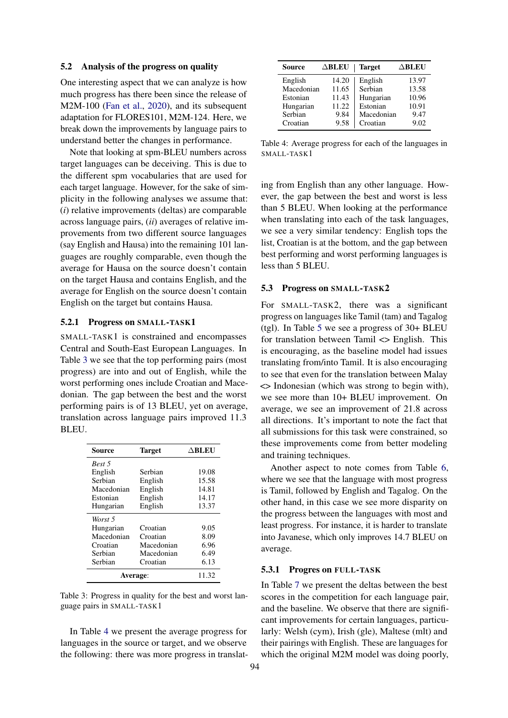#### 5.2 Analysis of the progress on quality

One interesting aspect that we can analyze is how much progress has there been since the release of M2M-100 [\(Fan et al.,](#page-9-3) [2020\)](#page-9-3), and its subsequent adaptation for FLORES101, M2M-124. Here, we break down the improvements by language pairs to understand better the changes in performance.

Note that looking at spm-BLEU numbers across target languages can be deceiving. This is due to the different spm vocabularies that are used for each target language. However, for the sake of simplicity in the following analyses we assume that: (*i*) relative improvements (deltas) are comparable across language pairs, (*ii*) averages of relative improvements from two different source languages (say English and Hausa) into the remaining 101 languages are roughly comparable, even though the average for Hausa on the source doesn't contain on the target Hausa and contains English, and the average for English on the source doesn't contain English on the target but contains Hausa.

#### 5.2.1 Progress on SMALL-TASK1

SMALL-TASK1 is constrained and encompasses Central and South-East European Languages. In Table [3](#page-5-0) we see that the top performing pairs (most progress) are into and out of English, while the worst performing ones include Croatian and Macedonian. The gap between the best and the worst performing pairs is of 13 BLEU, yet on average, translation across language pairs improved 11.3 BLEU.

<span id="page-5-0"></span>

| Source     | Target     | $\Delta$ BLEU |
|------------|------------|---------------|
| Rest 5     |            |               |
| English    | Serbian    | 19.08         |
| Serbian    | English    | 15.58         |
| Macedonian | English    | 14.81         |
| Estonian   | English    | 14.17         |
| Hungarian  | English    | 13.37         |
| Worst 5    |            |               |
| Hungarian  | Croatian   | 9.05          |
| Macedonian | Croatian   | 8.09          |
| Croatian   | Macedonian | 6.96          |
| Serbian    | Macedonian | 6.49          |
| Serbian    | Croatian   | 6.13          |
| Average:   | 11.32      |               |

Table 3: Progress in quality for the best and worst language pairs in SMALL-TASK1

In Table [4](#page-5-1) we present the average progress for languages in the source or target, and we observe the following: there was more progress in translat-

<span id="page-5-1"></span>

| Source     | $\triangle$ BLEU | <b>Target</b> | $\Delta$ BLEU |
|------------|------------------|---------------|---------------|
| English    | 14.20            | English       | 13.97         |
| Macedonian | 11.65            | Serbian       | 13.58         |
| Estonian   | 11.43            | Hungarian     | 10.96         |
| Hungarian  | 11.22            | Estonian      | 10.91         |
| Serbian    | 9.84             | Macedonian    | 9.47          |
| Croatian   | 9.58             | Croatian      | 9.02          |

Table 4: Average progress for each of the languages in SMALL-TASK1

ing from English than any other language. However, the gap between the best and worst is less than 5 BLEU. When looking at the performance when translating into each of the task languages, we see a very similar tendency: English tops the list, Croatian is at the bottom, and the gap between best performing and worst performing languages is less than 5 BLEU.

#### 5.3 Progress on SMALL-TASK2

For SMALL-TASK2, there was a significant progress on languages like Tamil (tam) and Tagalog (tgl). In Table [5](#page-6-0) we see a progress of 30+ BLEU for translation between Tamil <> English. This is encouraging, as the baseline model had issues translating from/into Tamil. It is also encouraging to see that even for the translation between Malay <> Indonesian (which was strong to begin with), we see more than 10+ BLEU improvement. On average, we see an improvement of 21.8 across all directions. It's important to note the fact that all submissions for this task were constrained, so these improvements come from better modeling and training techniques.

Another aspect to note comes from Table [6,](#page-6-1) where we see that the language with most progress is Tamil, followed by English and Tagalog. On the other hand, in this case we see more disparity on the progress between the languages with most and least progress. For instance, it is harder to translate into Javanese, which only improves 14.7 BLEU on average.

### 5.3.1 Progres on FULL-TASK

In Table [7](#page-6-2) we present the deltas between the best scores in the competition for each language pair, and the baseline. We observe that there are significant improvements for certain languages, particularly: Welsh (cym), Irish (gle), Maltese (mlt) and their pairings with English. These are languages for which the original M2M model was doing poorly,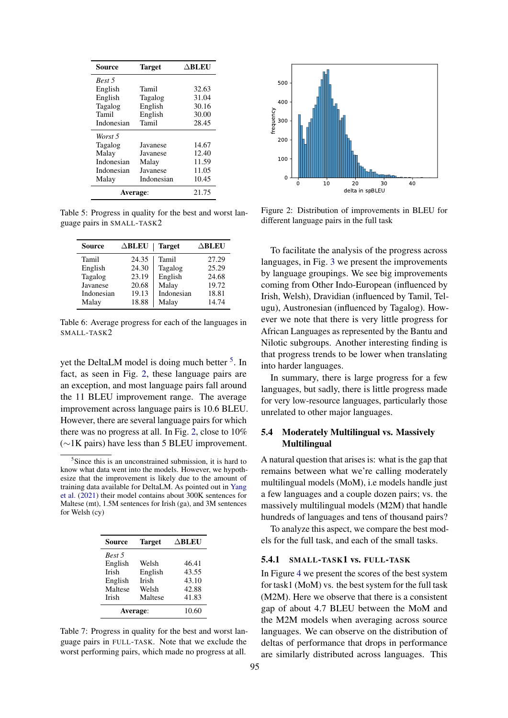<span id="page-6-0"></span>

| <b>Source</b>   | <b>Target</b> | $\Delta$ BLEU |
|-----------------|---------------|---------------|
| Best 5          |               |               |
| English         | Tamil         | 32.63         |
| English         | Tagalog       | 31.04         |
| Tagalog         | English       | 30.16         |
| Tamil           | English       | 30.00         |
| Indonesian      | Tamil         | 28.45         |
| Worst 5         |               |               |
| Tagalog         | Javanese      | 14.67         |
| Malay           | Javanese      | 12.40         |
| Indonesian      | Malay         | 11.59         |
| Indonesian      | Javanese      | 11.05         |
| Malay           | Indonesian    | 10.45         |
| <b>Average:</b> |               | 21.75         |

Table 5: Progress in quality for the best and worst language pairs in SMALL-TASK2

<span id="page-6-1"></span>

| <b>Source</b> | $\triangle$ BLEU | <b>Target</b> | $\Delta$ BLEU |
|---------------|------------------|---------------|---------------|
| Tamil         | 24.35            | Tamil         | 27.29         |
| English       | 24.30            | Tagalog       | 25.29         |
| Tagalog       | 23.19            | English       | 24.68         |
| Javanese      | 20.68            | Malay         | 19.72         |
| Indonesian    | 19.13            | Indonesian    | 18.81         |
| Malay         | 18.88            | Malay         | 14.74         |

Table 6: Average progress for each of the languages in SMALL-TASK2

yet the DeltaLM model is doing much better <sup>[5](#page-6-3)</sup>. In fact, as seen in Fig. [2,](#page-6-4) these language pairs are an exception, and most language pairs fall around the 11 BLEU improvement range. The average improvement across language pairs is 10.6 BLEU. However, there are several language pairs for which there was no progress at all. In Fig. [2,](#page-6-4) close to 10% (∼1K pairs) have less than 5 BLEU improvement.

<span id="page-6-3"></span><sup>5</sup>Since this is an unconstrained submission, it is hard to know what data went into the models. However, we hypothesize that the improvement is likely due to the amount of training data available for DeltaLM. As pointed out in [Yang](#page-10-3) [et al.](#page-10-3) [\(2021\)](#page-10-3) their model contains about 300K sentences for Maltese (mt), 1.5M sentences for Irish (ga), and 3M sentences for Welsh (cy)

<span id="page-6-2"></span>

| Source       | <b>Target</b> | $\Delta$ BLEU |
|--------------|---------------|---------------|
| Best 5       |               |               |
| English      | Welsh         | 46.41         |
| <b>Irish</b> | English       | 43.55         |
| English      | Irish         | 43.10         |
| Maltese      | Welsh         | 42.88         |
| Irish        | Maltese       | 41.83         |
| Average:     |               | 10.60         |

Table 7: Progress in quality for the best and worst language pairs in FULL-TASK. Note that we exclude the worst performing pairs, which made no progress at all.

<span id="page-6-4"></span>

Figure 2: Distribution of improvements in BLEU for different language pairs in the full task

To facilitate the analysis of the progress across languages, in Fig. [3](#page-7-0) we present the improvements by language groupings. We see big improvements coming from Other Indo-European (influenced by Irish, Welsh), Dravidian (influenced by Tamil, Telugu), Austronesian (influenced by Tagalog). However we note that there is very little progress for African Languages as represented by the Bantu and Nilotic subgroups. Another interesting finding is that progress trends to be lower when translating into harder languages.

In summary, there is large progress for a few languages, but sadly, there is little progress made for very low-resource languages, particularly those unrelated to other major languages.

# 5.4 Moderately Multilingual vs. Massively **Multilingual**

A natural question that arises is: what is the gap that remains between what we're calling moderately multilingual models (MoM), i.e models handle just a few languages and a couple dozen pairs; vs. the massively multilingual models (M2M) that handle hundreds of languages and tens of thousand pairs?

To analyze this aspect, we compare the best models for the full task, and each of the small tasks.

#### 5.4.1 SMALL-TASK1 vs. FULL-TASK

In Figure [4](#page-7-1) we present the scores of the best system for task1 (MoM) vs. the best system for the full task (M2M). Here we observe that there is a consistent gap of about 4.7 BLEU between the MoM and the M2M models when averaging across source languages. We can observe on the distribution of deltas of performance that drops in performance are similarly distributed across languages. This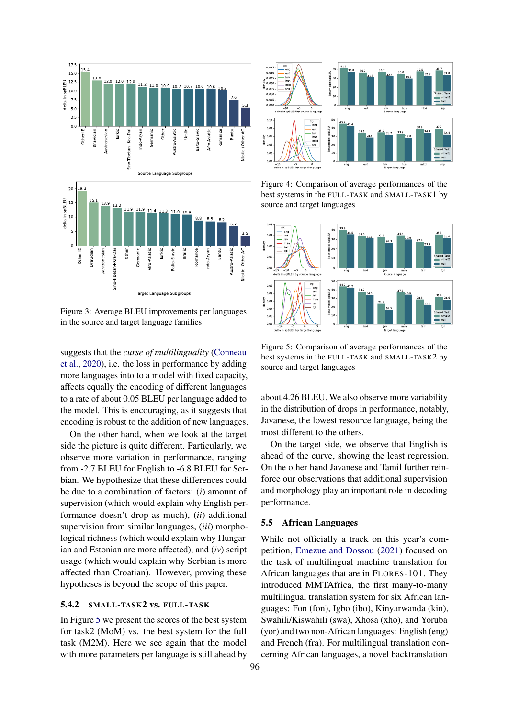<span id="page-7-0"></span>

Figure 3: Average BLEU improvements per languages in the source and target language families

suggests that the *curse of multilinguality* [\(Conneau](#page-8-2) [et al.,](#page-8-2) [2020\)](#page-8-2), i.e. the loss in performance by adding more languages into to a model with fixed capacity, affects equally the encoding of different languages to a rate of about 0.05 BLEU per language added to the model. This is encouraging, as it suggests that encoding is robust to the addition of new languages.

On the other hand, when we look at the target side the picture is quite different. Particularly, we observe more variation in performance, ranging from -2.7 BLEU for English to -6.8 BLEU for Serbian. We hypothesize that these differences could be due to a combination of factors: (*i*) amount of supervision (which would explain why English performance doesn't drop as much), (*ii*) additional supervision from similar languages, (*iii*) morphological richness (which would explain why Hungarian and Estonian are more affected), and (*iv*) script usage (which would explain why Serbian is more affected than Croatian). However, proving these hypotheses is beyond the scope of this paper.

### 5.4.2 SMALL-TASK2 vs. FULL-TASK

In Figure [5](#page-7-2) we present the scores of the best system for task2 (MoM) vs. the best system for the full task (M2M). Here we see again that the model with more parameters per language is still ahead by

<span id="page-7-1"></span>

Figure 4: Comparison of average performances of the best systems in the FULL-TASK and SMALL-TASK1 by source and target languages

<span id="page-7-2"></span>

Figure 5: Comparison of average performances of the best systems in the FULL-TASK and SMALL-TASK2 by source and target languages

about 4.26 BLEU. We also observe more variability in the distribution of drops in performance, notably, Javanese, the lowest resource language, being the most different to the others.

On the target side, we observe that English is ahead of the curve, showing the least regression. On the other hand Javanese and Tamil further reinforce our observations that additional supervision and morphology play an important role in decoding performance.

#### 5.5 African Languages

While not officially a track on this year's competition, [Emezue and Dossou](#page-8-5) [\(2021\)](#page-8-5) focused on the task of multilingual machine translation for African languages that are in FLORES-101. They introduced MMTAfrica, the first many-to-many multilingual translation system for six African languages: Fon (fon), Igbo (ibo), Kinyarwanda (kin), Swahili/Kiswahili (swa), Xhosa (xho), and Yoruba (yor) and two non-African languages: English (eng) and French (fra). For multilingual translation concerning African languages, a novel backtranslation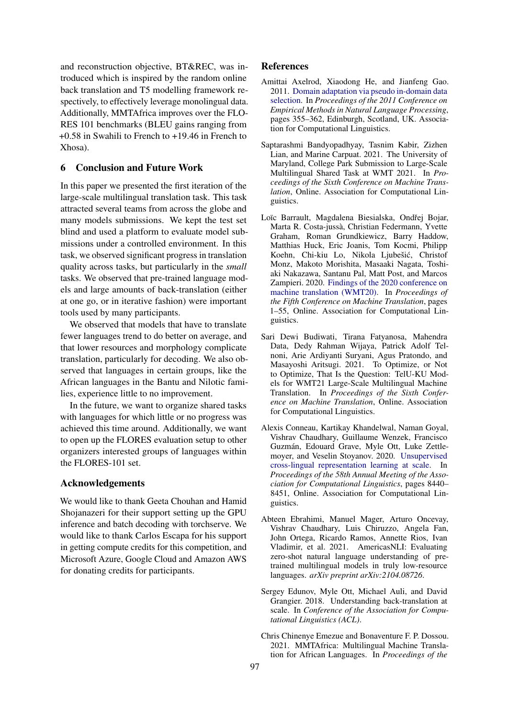and reconstruction objective, BT&REC, was introduced which is inspired by the random online back translation and T5 modelling framework respectively, to effectively leverage monolingual data. Additionally, MMTAfrica improves over the FLO-RES 101 benchmarks (BLEU gains ranging from +0.58 in Swahili to French to +19.46 in French to Xhosa).

# 6 Conclusion and Future Work

In this paper we presented the first iteration of the large-scale multilingual translation task. This task attracted several teams from across the globe and many models submissions. We kept the test set blind and used a platform to evaluate model submissions under a controlled environment. In this task, we observed significant progress in translation quality across tasks, but particularly in the *small* tasks. We observed that pre-trained language models and large amounts of back-translation (either at one go, or in iterative fashion) were important tools used by many participants.

We observed that models that have to translate fewer languages trend to do better on average, and that lower resources and morphology complicate translation, particularly for decoding. We also observed that languages in certain groups, like the African languages in the Bantu and Nilotic families, experience little to no improvement.

In the future, we want to organize shared tasks with languages for which little or no progress was achieved this time around. Additionally, we want to open up the FLORES evaluation setup to other organizers interested groups of languages within the FLORES-101 set.

# Acknowledgements

We would like to thank Geeta Chouhan and Hamid Shojanazeri for their support setting up the GPU inference and batch decoding with torchserve. We would like to thank Carlos Escapa for his support in getting compute credits for this competition, and Microsoft Azure, Google Cloud and Amazon AWS for donating credits for participants.

### References

- <span id="page-8-4"></span>Amittai Axelrod, Xiaodong He, and Jianfeng Gao. 2011. [Domain adaptation via pseudo in-domain data](https://aclanthology.org/D11-1033) [selection.](https://aclanthology.org/D11-1033) In *Proceedings of the 2011 Conference on Empirical Methods in Natural Language Processing*, pages 355–362, Edinburgh, Scotland, UK. Association for Computational Linguistics.
- <span id="page-8-7"></span>Saptarashmi Bandyopadhyay, Tasnim Kabir, Zizhen Lian, and Marine Carpuat. 2021. The University of Maryland, College Park Submission to Large-Scale Multilingual Shared Task at WMT 2021. In *Proceedings of the Sixth Conference on Machine Translation*, Online. Association for Computational Linguistics.
- <span id="page-8-0"></span>Loïc Barrault, Magdalena Biesialska, Ondřej Bojar, Marta R. Costa-jussà, Christian Federmann, Yvette Graham, Roman Grundkiewicz, Barry Haddow, Matthias Huck, Eric Joanis, Tom Kocmi, Philipp Koehn, Chi-kiu Lo, Nikola Ljubešic, Christof ´ Monz, Makoto Morishita, Masaaki Nagata, Toshiaki Nakazawa, Santanu Pal, Matt Post, and Marcos Zampieri. 2020. [Findings of the 2020 conference on](https://aclanthology.org/2020.wmt-1.1) [machine translation \(WMT20\).](https://aclanthology.org/2020.wmt-1.1) In *Proceedings of the Fifth Conference on Machine Translation*, pages 1–55, Online. Association for Computational Linguistics.
- <span id="page-8-6"></span>Sari Dewi Budiwati, Tirana Fatyanosa, Mahendra Data, Dedy Rahman Wijaya, Patrick Adolf Telnoni, Arie Ardiyanti Suryani, Agus Pratondo, and Masayoshi Aritsugi. 2021. To Optimize, or Not to Optimize, That Is the Question: TelU-KU Models for WMT21 Large-Scale Multilingual Machine Translation. In *Proceedings of the Sixth Conference on Machine Translation*, Online. Association for Computational Linguistics.
- <span id="page-8-2"></span>Alexis Conneau, Kartikay Khandelwal, Naman Goyal, Vishrav Chaudhary, Guillaume Wenzek, Francisco Guzmán, Edouard Grave, Myle Ott, Luke Zettlemoyer, and Veselin Stoyanov. 2020. [Unsupervised](https://doi.org/10.18653/v1/2020.acl-main.747) [cross-lingual representation learning at scale.](https://doi.org/10.18653/v1/2020.acl-main.747) In *Proceedings of the 58th Annual Meeting of the Association for Computational Linguistics*, pages 8440– 8451, Online. Association for Computational Linguistics.
- <span id="page-8-1"></span>Abteen Ebrahimi, Manuel Mager, Arturo Oncevay, Vishrav Chaudhary, Luis Chiruzzo, Angela Fan, John Ortega, Ricardo Ramos, Annette Rios, Ivan Vladimir, et al. 2021. AmericasNLI: Evaluating zero-shot natural language understanding of pretrained multilingual models in truly low-resource languages. *arXiv preprint arXiv:2104.08726*.
- <span id="page-8-3"></span>Sergey Edunov, Myle Ott, Michael Auli, and David Grangier. 2018. Understanding back-translation at scale. In *Conference of the Association for Computational Linguistics (ACL)*.
- <span id="page-8-5"></span>Chris Chinenye Emezue and Bonaventure F. P. Dossou. 2021. MMTAfrica: Multilingual Machine Translation for African Languages. In *Proceedings of the*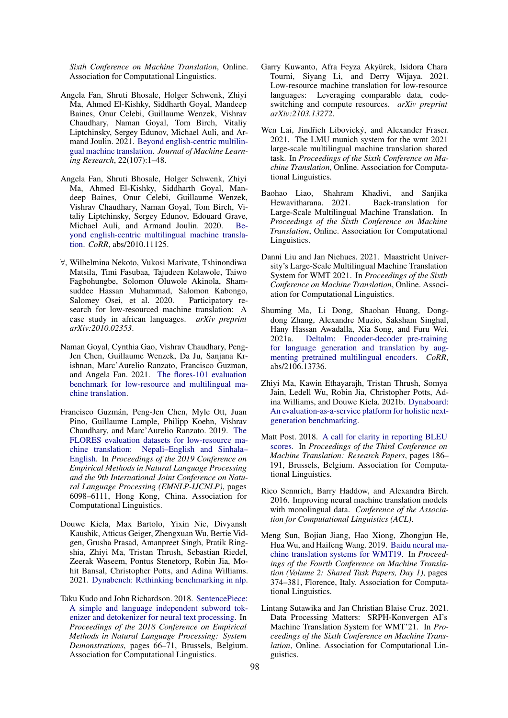*Sixth Conference on Machine Translation*, Online. Association for Computational Linguistics.

- <span id="page-9-5"></span>Angela Fan, Shruti Bhosale, Holger Schwenk, Zhiyi Ma, Ahmed El-Kishky, Siddharth Goyal, Mandeep Baines, Onur Celebi, Guillaume Wenzek, Vishrav Chaudhary, Naman Goyal, Tom Birch, Vitaliy Liptchinsky, Sergey Edunov, Michael Auli, and Armand Joulin. 2021. [Beyond english-centric multilin](http://jmlr.org/papers/v22/20-1307.html)[gual machine translation.](http://jmlr.org/papers/v22/20-1307.html) *Journal of Machine Learning Research*, 22(107):1–48.
- <span id="page-9-3"></span>Angela Fan, Shruti Bhosale, Holger Schwenk, Zhiyi Ma, Ahmed El-Kishky, Siddharth Goyal, Mandeep Baines, Onur Celebi, Guillaume Wenzek, Vishrav Chaudhary, Naman Goyal, Tom Birch, Vitaliy Liptchinsky, Sergey Edunov, Edouard Grave, Michael Auli, and Armand Joulin. 2020. [Be](http://arxiv.org/abs/2010.11125)[yond english-centric multilingual machine transla](http://arxiv.org/abs/2010.11125)[tion.](http://arxiv.org/abs/2010.11125) *CoRR*, abs/2010.11125.
- <span id="page-9-1"></span>∀, Wilhelmina Nekoto, Vukosi Marivate, Tshinondiwa Matsila, Timi Fasubaa, Tajudeen Kolawole, Taiwo Fagbohungbe, Solomon Oluwole Akinola, Shamsuddee Hassan Muhammad, Salomon Kabongo, Salomey Osei, et al. 2020. Participatory research for low-resourced machine translation: A case study in african languages. *arXiv preprint arXiv:2010.02353*.
- <span id="page-9-4"></span>Naman Goyal, Cynthia Gao, Vishrav Chaudhary, Peng-Jen Chen, Guillaume Wenzek, Da Ju, Sanjana Krishnan, Marc'Aurelio Ranzato, Francisco Guzman, and Angela Fan. 2021. [The flores-101 evaluation](http://arxiv.org/abs/2106.03193) [benchmark for low-resource and multilingual ma](http://arxiv.org/abs/2106.03193)[chine translation.](http://arxiv.org/abs/2106.03193)
- <span id="page-9-0"></span>Francisco Guzmán, Peng-Jen Chen, Myle Ott, Juan Pino, Guillaume Lample, Philipp Koehn, Vishrav Chaudhary, and Marc'Aurelio Ranzato. 2019. [The](https://doi.org/10.18653/v1/D19-1632) [FLORES evaluation datasets for low-resource ma](https://doi.org/10.18653/v1/D19-1632)[chine translation: Nepali–English and Sinhala–](https://doi.org/10.18653/v1/D19-1632) [English.](https://doi.org/10.18653/v1/D19-1632) In *Proceedings of the 2019 Conference on Empirical Methods in Natural Language Processing and the 9th International Joint Conference on Natural Language Processing (EMNLP-IJCNLP)*, pages 6098–6111, Hong Kong, China. Association for Computational Linguistics.
- <span id="page-9-16"></span>Douwe Kiela, Max Bartolo, Yixin Nie, Divyansh Kaushik, Atticus Geiger, Zhengxuan Wu, Bertie Vidgen, Grusha Prasad, Amanpreet Singh, Pratik Ringshia, Zhiyi Ma, Tristan Thrush, Sebastian Riedel, Zeerak Waseem, Pontus Stenetorp, Robin Jia, Mohit Bansal, Christopher Potts, and Adina Williams. 2021. [Dynabench: Rethinking benchmarking in nlp.](http://arxiv.org/abs/2104.14337)
- <span id="page-9-7"></span>Taku Kudo and John Richardson. 2018. [SentencePiece:](https://doi.org/10.18653/v1/D18-2012) [A simple and language independent subword tok](https://doi.org/10.18653/v1/D18-2012)[enizer and detokenizer for neural text processing.](https://doi.org/10.18653/v1/D18-2012) In *Proceedings of the 2018 Conference on Empirical Methods in Natural Language Processing: System Demonstrations*, pages 66–71, Brussels, Belgium. Association for Computational Linguistics.
- <span id="page-9-2"></span>Garry Kuwanto, Afra Feyza Akyürek, Isidora Chara Tourni, Siyang Li, and Derry Wijaya. 2021. Low-resource machine translation for low-resource languages: Leveraging comparable data, codeswitching and compute resources. *arXiv preprint arXiv:2103.13272*.
- <span id="page-9-10"></span>Wen Lai, Jindřich Libovický, and Alexander Fraser. 2021. The LMU munich system for the wmt 2021 large-scale multilingual machine translation shared task. In *Proceedings of the Sixth Conference on Machine Translation*, Online. Association for Computational Linguistics.
- <span id="page-9-8"></span>Baohao Liao, Shahram Khadivi, and Sanjika Hewavitharana. 2021. Back-translation for Large-Scale Multilingual Machine Translation. In *Proceedings of the Sixth Conference on Machine Translation*, Online. Association for Computational Linguistics.
- <span id="page-9-11"></span>Danni Liu and Jan Niehues. 2021. Maastricht University's Large-Scale Multilingual Machine Translation System for WMT 2021. In *Proceedings of the Sixth Conference on Machine Translation*, Online. Association for Computational Linguistics.
- <span id="page-9-12"></span>Shuming Ma, Li Dong, Shaohan Huang, Dongdong Zhang, Alexandre Muzio, Saksham Singhal, Hany Hassan Awadalla, Xia Song, and Furu Wei. 2021a. [Deltalm: Encoder-decoder pre-training](http://arxiv.org/abs/2106.13736) [for language generation and translation by aug](http://arxiv.org/abs/2106.13736)[menting pretrained multilingual encoders.](http://arxiv.org/abs/2106.13736) *CoRR*, abs/2106.13736.
- <span id="page-9-15"></span>Zhiyi Ma, Kawin Ethayarajh, Tristan Thrush, Somya Jain, Ledell Wu, Robin Jia, Christopher Potts, Adina Williams, and Douwe Kiela. 2021b. [Dynaboard:](http://arxiv.org/abs/2106.06052) [An evaluation-as-a-service platform for holistic next](http://arxiv.org/abs/2106.06052)[generation benchmarking.](http://arxiv.org/abs/2106.06052)
- <span id="page-9-6"></span>Matt Post. 2018. [A call for clarity in reporting BLEU](https://doi.org/10.18653/v1/W18-6319) [scores.](https://doi.org/10.18653/v1/W18-6319) In *Proceedings of the Third Conference on Machine Translation: Research Papers*, pages 186– 191, Brussels, Belgium. Association for Computational Linguistics.
- <span id="page-9-13"></span>Rico Sennrich, Barry Haddow, and Alexandra Birch. 2016. Improving neural machine translation models with monolingual data. *Conference of the Association for Computational Linguistics (ACL)*.
- <span id="page-9-9"></span>Meng Sun, Bojian Jiang, Hao Xiong, Zhongjun He, Hua Wu, and Haifeng Wang. 2019. [Baidu neural ma](https://doi.org/10.18653/v1/W19-5341)[chine translation systems for WMT19.](https://doi.org/10.18653/v1/W19-5341) In *Proceedings of the Fourth Conference on Machine Translation (Volume 2: Shared Task Papers, Day 1)*, pages 374–381, Florence, Italy. Association for Computational Linguistics.
- <span id="page-9-14"></span>Lintang Sutawika and Jan Christian Blaise Cruz. 2021. Data Processing Matters: SRPH-Konvergen AI's Machine Translation System for WMT'21. In *Proceedings of the Sixth Conference on Machine Translation*, Online. Association for Computational Linguistics.